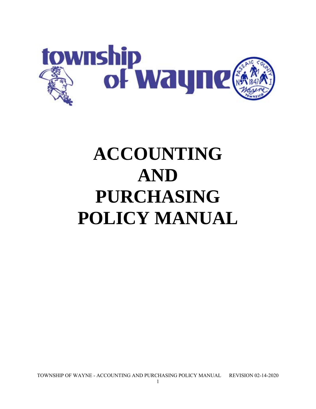

# **ACCOUNTING AND PURCHASING POLICY MANUAL**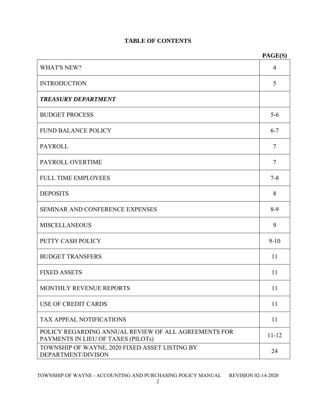# **TABLE OF CONTENTS**

|                                                                                            | PAGE(S)   |  |  |  |  |
|--------------------------------------------------------------------------------------------|-----------|--|--|--|--|
| <b>WHAT'S NEW?</b>                                                                         | 4         |  |  |  |  |
| <b>INTRODUCTION</b>                                                                        |           |  |  |  |  |
| <b>TREASURY DEPARTMENT</b>                                                                 |           |  |  |  |  |
| <b>BUDGET PROCESS</b>                                                                      | $5 - 6$   |  |  |  |  |
| <b>FUND BALANCE POLICY</b>                                                                 | $6 - 7$   |  |  |  |  |
| <b>PAYROLL</b>                                                                             | 7         |  |  |  |  |
| PAYROLL OVERTIME                                                                           | 7         |  |  |  |  |
| <b>FULL TIME EMPLOYEES</b>                                                                 | $7 - 8$   |  |  |  |  |
| <b>DEPOSITS</b>                                                                            | 8         |  |  |  |  |
| <b>SEMINAR AND CONFERENCE EXPENSES</b>                                                     | $8-9$     |  |  |  |  |
| <b>MISCELLANEOUS</b>                                                                       | 9         |  |  |  |  |
| PETTY CASH POLICY                                                                          | $9 - 10$  |  |  |  |  |
| <b>BUDGET TRANSFERS</b>                                                                    | 11        |  |  |  |  |
| <b>FIXED ASSETS</b>                                                                        | 11        |  |  |  |  |
| MONTHLY REVENUE REPORTS                                                                    | 11        |  |  |  |  |
| <b>USE OF CREDIT CARDS</b>                                                                 | 11        |  |  |  |  |
| TAX APPEAL NOTIFICATIONS                                                                   | 11        |  |  |  |  |
| POLICY REGARDING ANNUAL REVIEW OF ALL AGREEMENTS FOR<br>PAYMENTS IN LIEU OF TAXES (PILOTs) | $11 - 12$ |  |  |  |  |
| TOWNSHIP OF WAYNE, 2020 FIXED ASSET LISTING BY<br>DEPARTMENT/DIVISON                       | 24        |  |  |  |  |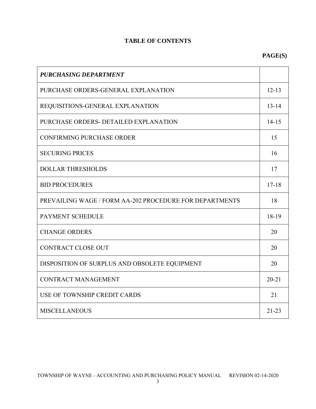# **TABLE OF CONTENTS**

# **PAGE(S)**

| <b>PURCHASING DEPARTMENT</b>                            |           |  |  |  |  |
|---------------------------------------------------------|-----------|--|--|--|--|
| PURCHASE ORDERS-GENERAL EXPLANATION                     |           |  |  |  |  |
| REQUISITIONS-GENERAL EXPLANATION                        |           |  |  |  |  |
| PURCHASE ORDERS- DETAILED EXPLANATION                   |           |  |  |  |  |
| <b>CONFIRMING PURCHASE ORDER</b>                        |           |  |  |  |  |
| <b>SECURING PRICES</b>                                  |           |  |  |  |  |
| <b>DOLLAR THRESHOLDS</b>                                |           |  |  |  |  |
| <b>BID PROCEDURES</b>                                   |           |  |  |  |  |
| PREVAILING WAGE / FORM AA-202 PROCEDURE FOR DEPARTMENTS |           |  |  |  |  |
| PAYMENT SCHEDULE                                        |           |  |  |  |  |
| <b>CHANGE ORDERS</b>                                    |           |  |  |  |  |
| <b>CONTRACT CLOSE OUT</b>                               |           |  |  |  |  |
| DISPOSITION OF SURPLUS AND OBSOLETE EQUIPMENT           |           |  |  |  |  |
| <b>CONTRACT MANAGEMENT</b>                              | $20 - 21$ |  |  |  |  |
| USE OF TOWNSHIP CREDIT CARDS                            | 21        |  |  |  |  |
| <b>MISCELLANEOUS</b>                                    | $21 - 23$ |  |  |  |  |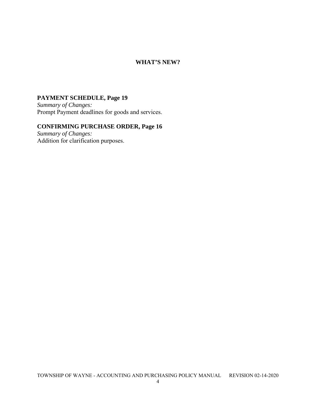#### **WHAT'S NEW?**

## **PAYMENT SCHEDULE, Page 19**

*Summary of Changes:*  Prompt Payment deadlines for goods and services.

#### **CONFIRMING PURCHASE ORDER, Page 16**

*Summary of Changes:*  Addition for clarification purposes.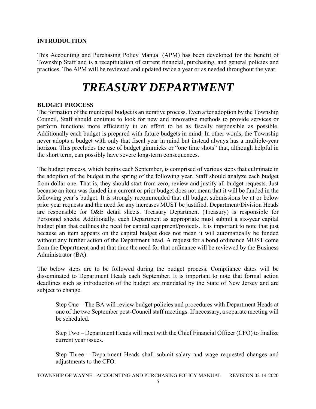#### **INTRODUCTION**

This Accounting and Purchasing Policy Manual (APM) has been developed for the benefit of Township Staff and is a recapitulation of current financial, purchasing, and general policies and practices. The APM will be reviewed and updated twice a year or as needed throughout the year.

# *TREASURY DEPARTMENT*

#### **BUDGET PROCESS**

The formation of the municipal budget is an iterative process. Even after adoption by the Township Council, Staff should continue to look for new and innovative methods to provide services or perform functions more efficiently in an effort to be as fiscally responsible as possible. Additionally each budget is prepared with future budgets in mind. In other words, the Township never adopts a budget with only that fiscal year in mind but instead always has a multiple-year horizon. This precludes the use of budget gimmicks or "one time shots" that, although helpful in the short term, can possibly have severe long-term consequences.

The budget process, which begins each September, is comprised of various steps that culminate in the adoption of the budget in the spring of the following year. Staff should analyze each budget from dollar one. That is, they should start from zero, review and justify all budget requests. Just because an item was funded in a current or prior budget does not mean that it will be funded in the following year's budget. It is strongly recommended that all budget submissions be at or below prior year requests and the need for any increases MUST be justified. Department/Division Heads are responsible for O&E detail sheets. Treasury Department (Treasury) is responsible for Personnel sheets. Additionally, each Department as appropriate must submit a six-year capital budget plan that outlines the need for capital equipment/projects. It is important to note that just because an item appears on the capital budget does not mean it will automatically be funded without any further action of the Department head. A request for a bond ordinance MUST come from the Department and at that time the need for that ordinance will be reviewed by the Business Administrator (BA).

The below steps are to be followed during the budget process. Compliance dates will be disseminated to Department Heads each September. It is important to note that formal action deadlines such as introduction of the budget are mandated by the State of New Jersey and are subject to change.

Step One – The BA will review budget policies and procedures with Department Heads at one of the two September post-Council staff meetings. If necessary, a separate meeting will be scheduled.

Step Two – Department Heads will meet with the Chief Financial Officer (CFO) to finalize current year issues.

Step Three – Department Heads shall submit salary and wage requested changes and adjustments to the CFO.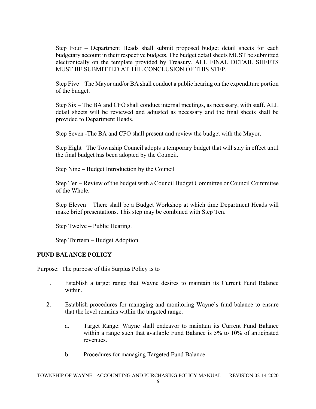Step Four – Department Heads shall submit proposed budget detail sheets for each budgetary account in their respective budgets. The budget detail sheets MUST be submitted electronically on the template provided by Treasury. ALL FINAL DETAIL SHEETS MUST BE SUBMITTED AT THE CONCLUSION OF THIS STEP.

Step Five – The Mayor and/or BA shall conduct a public hearing on the expenditure portion of the budget.

Step Six – The BA and CFO shall conduct internal meetings, as necessary, with staff. ALL detail sheets will be reviewed and adjusted as necessary and the final sheets shall be provided to Department Heads.

Step Seven -The BA and CFO shall present and review the budget with the Mayor.

Step Eight –The Township Council adopts a temporary budget that will stay in effect until the final budget has been adopted by the Council.

Step Nine – Budget Introduction by the Council

Step Ten – Review of the budget with a Council Budget Committee or Council Committee of the Whole.

Step Eleven – There shall be a Budget Workshop at which time Department Heads will make brief presentations. This step may be combined with Step Ten.

Step Twelve – Public Hearing.

Step Thirteen – Budget Adoption.

#### **FUND BALANCE POLICY**

Purpose: The purpose of this Surplus Policy is to

- 1. Establish a target range that Wayne desires to maintain its Current Fund Balance within.
- 2. Establish procedures for managing and monitoring Wayne's fund balance to ensure that the level remains within the targeted range.
	- a. Target Range: Wayne shall endeavor to maintain its Current Fund Balance within a range such that available Fund Balance is 5% to 10% of anticipated revenues.
	- b. Procedures for managing Targeted Fund Balance.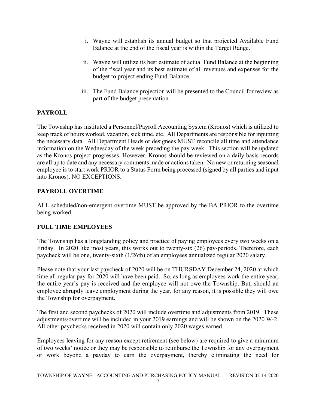- i. Wayne will establish its annual budget so that projected Available Fund Balance at the end of the fiscal year is within the Target Range.
- ii. Wayne will utilize its best estimate of actual Fund Balance at the beginning of the fiscal year and its best estimate of all revenues and expenses for the budget to project ending Fund Balance.
- iii. The Fund Balance projection will be presented to the Council for review as part of the budget presentation.

#### **PAYROLL**

The Township has instituted a Personnel/Payroll Accounting System (Kronos) which is utilized to keep track of hours worked, vacation, sick time, etc. All Departments are responsible for inputting the necessary data. All Department Heads or designees MUST reconcile all time and attendance information on the Wednesday of the week preceding the pay week. This section will be updated as the Kronos project progresses. However, Kronos should be reviewed on a daily basis records are all up to date and any necessary comments made or actions taken. No new or returning seasonal employee is to start work PRIOR to a Status Form being processed (signed by all parties and input into Kronos). NO EXCEPTIONS.

#### **PAYROLL OVERTIME**

ALL scheduled/non-emergent overtime MUST be approved by the BA PRIOR to the overtime being worked.

#### **FULL TIME EMPLOYEES**

The Township has a longstanding policy and practice of paying employees every two weeks on a Friday. In 2020 like most years, this works out to twenty-six (26) pay-periods. Therefore, each paycheck will be one, twenty-sixth (1/26th) of an employees annualized regular 2020 salary.

Please note that your last paycheck of 2020 will be on THURSDAY December 24, 2020 at which time all regular pay for 2020 will have been paid. So, as long as employees work the entire year, the entire year's pay is received and the employee will not owe the Township. But, should an employee abruptly leave employment during the year, for any reason, it is possible they will owe the Township for overpayment.

The first and second paychecks of 2020 will include overtime and adjustments from 2019. These adjustments/overtime will be included in your 2019 earnings and will be shown on the 2020 W-2. All other paychecks received in 2020 will contain only 2020 wages earned.

Employees leaving for any reason except retirement (see below) are required to give a minimum of two weeks' notice or they may be responsible to reimburse the Township for any overpayment or work beyond a payday to earn the overpayment, thereby eliminating the need for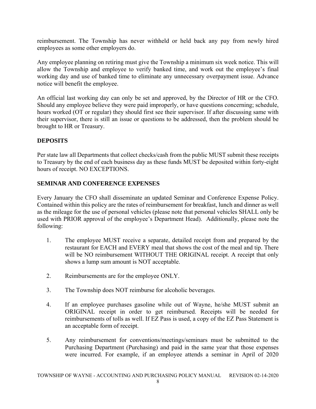reimbursement. The Township has never withheld or held back any pay from newly hired employees as some other employers do.

Any employee planning on retiring must give the Township a minimum six week notice. This will allow the Township and employee to verify banked time, and work out the employee's final working day and use of banked time to eliminate any unnecessary overpayment issue. Advance notice will benefit the employee.

An official last working day can only be set and approved, by the Director of HR or the CFO. Should any employee believe they were paid improperly, or have questions concerning; schedule, hours worked (OT or regular) they should first see their supervisor. If after discussing same with their supervisor, there is still an issue or questions to be addressed, then the problem should be brought to HR or Treasury.

#### **DEPOSITS**

Per state law all Departments that collect checks/cash from the public MUST submit these receipts to Treasury by the end of each business day as these funds MUST be deposited within forty-eight hours of receipt. NO EXCEPTIONS.

#### **SEMINAR AND CONFERENCE EXPENSES**

Every January the CFO shall disseminate an updated Seminar and Conference Expense Policy. Contained within this policy are the rates of reimbursement for breakfast, lunch and dinner as well as the mileage for the use of personal vehicles (please note that personal vehicles SHALL only be used with PRIOR approval of the employee's Department Head). Additionally, please note the following:

- 1. The employee MUST receive a separate, detailed receipt from and prepared by the restaurant for EACH and EVERY meal that shows the cost of the meal and tip. There will be NO reimbursement WITHOUT THE ORIGINAL receipt. A receipt that only shows a lump sum amount is NOT acceptable.
- 2. Reimbursements are for the employee ONLY.
- 3. The Township does NOT reimburse for alcoholic beverages.
- 4. If an employee purchases gasoline while out of Wayne, he/she MUST submit an ORIGINAL receipt in order to get reimbursed. Receipts will be needed for reimbursements of tolls as well. If EZ Pass is used, a copy of the EZ Pass Statement is an acceptable form of receipt.
- 5. Any reimbursement for conventions/meetings/seminars must be submitted to the Purchasing Department (Purchasing) and paid in the same year that those expenses were incurred. For example, if an employee attends a seminar in April of 2020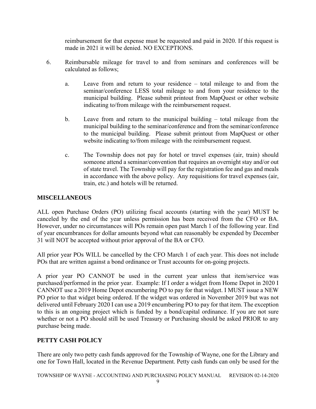reimbursement for that expense must be requested and paid in 2020. If this request is made in 2021 it will be denied. NO EXCEPTIONS.

- 6. Reimbursable mileage for travel to and from seminars and conferences will be calculated as follows;
	- a. Leave from and return to your residence total mileage to and from the seminar/conference LESS total mileage to and from your residence to the municipal building. Please submit printout from MapQuest or other website indicating to/from mileage with the reimbursement request.
	- b. Leave from and return to the municipal building total mileage from the municipal building to the seminar/conference and from the seminar/conference to the municipal building. Please submit printout from MapQuest or other website indicating to/from mileage with the reimbursement request.
	- c. The Township does not pay for hotel or travel expenses (air, train) should someone attend a seminar/convention that requires an overnight stay and/or out of state travel. The Township will pay for the registration fee and gas and meals in accordance with the above policy. Any requisitions for travel expenses (air, train, etc.) and hotels will be returned.

#### **MISCELLANEOUS**

ALL open Purchase Orders (PO) utilizing fiscal accounts (starting with the year) MUST be canceled by the end of the year unless permission has been received from the CFO or BA. However, under no circumstances will POs remain open past March 1 of the following year. End of year encumbrances for dollar amounts beyond what can reasonably be expended by December 31 will NOT be accepted without prior approval of the BA or CFO.

All prior year POs WILL be cancelled by the CFO March 1 of each year. This does not include POs that are written against a bond ordinance or Trust accounts for on-going projects.

A prior year PO CANNOT be used in the current year unless that item/service was purchased/performed in the prior year. Example: If I order a widget from Home Depot in 2020 I CANNOT use a 2019 Home Depot encumbering PO to pay for that widget. I MUST issue a NEW PO prior to that widget being ordered. If the widget was ordered in November 2019 but was not delivered until February 2020 I can use a 2019 encumbering PO to pay for that item. The exception to this is an ongoing project which is funded by a bond/capital ordinance. If you are not sure whether or not a PO should still be used Treasury or Purchasing should be asked PRIOR to any purchase being made.

#### **PETTY CASH POLICY**

There are only two petty cash funds approved for the Township of Wayne, one for the Library and one for Town Hall, located in the Revenue Department. Petty cash funds can only be used for the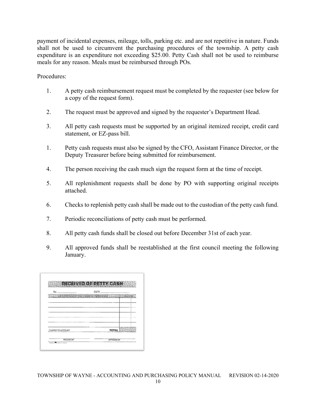payment of incidental expenses, mileage, tolls, parking etc. and are not repetitive in nature. Funds shall not be used to circumvent the purchasing procedures of the township. A petty cash expenditure is an expenditure not exceeding \$25.00. Petty Cash shall not be used to reimburse meals for any reason. Meals must be reimbursed through POs.

Procedures:

- 1. A petty cash reimbursement request must be completed by the requester (see below for a copy of the request form).
- 2. The request must be approved and signed by the requester's Department Head.
- 3. All petty cash requests must be supported by an original itemized receipt, credit card statement, or EZ-pass bill.
- 1. Petty cash requests must also be signed by the CFO, Assistant Finance Director, or the Deputy Treasurer before being submitted for reimbursement.
- 4. The person receiving the cash much sign the request form at the time of receipt.
- 5. All replenishment requests shall be done by PO with supporting original receipts attached.
- 6. Checks to replenish petty cash shall be made out to the custodian of the petty cash fund.
- 7. Periodic reconciliations of petty cash must be performed.
- 8. All petty cash funds shall be closed out before December 31st of each year.
- 9. All approved funds shall be reestablished at the first council meeting the following January.

| No                |                                                     |
|-------------------|-----------------------------------------------------|
|                   | DESCRIPTION OF TEM ASERVICE PURCHASED ALL ENDS TAMP |
|                   |                                                     |
|                   |                                                     |
|                   |                                                     |
|                   |                                                     |
|                   |                                                     |
|                   |                                                     |
| CHARGE TO ACCOUNT | <b>TOTAL</b>                                        |
|                   |                                                     |
| <b>RECEVED BY</b> | APPROVED BY                                         |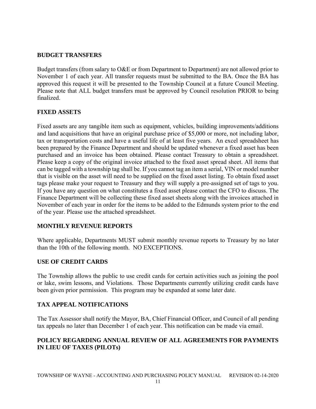#### **BUDGET TRANSFERS**

Budget transfers (from salary to O&E or from Department to Department) are not allowed prior to November 1 of each year. All transfer requests must be submitted to the BA. Once the BA has approved this request it will be presented to the Township Council at a future Council Meeting. Please note that ALL budget transfers must be approved by Council resolution PRIOR to being finalized.

#### **FIXED ASSETS**

Fixed assets are any tangible item such as equipment, vehicles, building improvements/additions and land acquisitions that have an original purchase price of \$5,000 or more, not including labor, tax or transportation costs and have a useful life of at least five years. An excel spreadsheet has been prepared by the Finance Department and should be updated whenever a fixed asset has been purchased and an invoice has been obtained. Please contact Treasury to obtain a spreadsheet. Please keep a copy of the original invoice attached to the fixed asset spread sheet. All items that can be tagged with a township tag shall be. If you cannot tag an item a serial, VIN or model number that is visible on the asset will need to be supplied on the fixed asset listing. To obtain fixed asset tags please make your request to Treasury and they will supply a pre-assigned set of tags to you. If you have any question on what constitutes a fixed asset please contact the CFO to discuss. The Finance Department will be collecting these fixed asset sheets along with the invoices attached in November of each year in order for the items to be added to the Edmunds system prior to the end of the year. Please use the attached spreadsheet.

#### **MONTHLY REVENUE REPORTS**

Where applicable, Departments MUST submit monthly revenue reports to Treasury by no later than the 10th of the following month. NO EXCEPTIONS.

#### **USE OF CREDIT CARDS**

The Township allows the public to use credit cards for certain activities such as joining the pool or lake, swim lessons, and Violations. Those Departments currently utilizing credit cards have been given prior permission. This program may be expanded at some later date.

#### **TAX APPEAL NOTIFICATIONS**

The Tax Assessor shall notify the Mayor, BA, Chief Financial Officer, and Council of all pending tax appeals no later than December 1 of each year. This notification can be made via email.

#### **POLICY REGARDING ANNUAL REVIEW OF ALL AGREEMENTS FOR PAYMENTS IN LIEU OF TAXES (PILOTs)**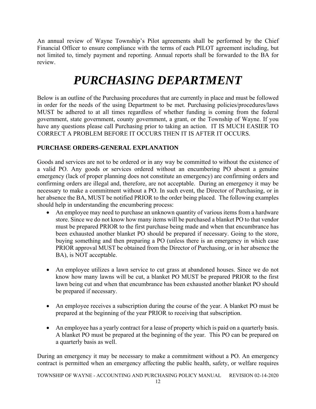An annual review of Wayne Township's Pilot agreements shall be performed by the Chief Financial Officer to ensure compliance with the terms of each PILOT agreement including, but not limited to, timely payment and reporting. Annual reports shall be forwarded to the BA for review.

# *PURCHASING DEPARTMENT*

Below is an outline of the Purchasing procedures that are currently in place and must be followed in order for the needs of the using Department to be met. Purchasing policies/procedures/laws MUST be adhered to at all times regardless of whether funding is coming from the federal government, state government, county government, a grant, or the Township of Wayne. If you have any questions please call Purchasing prior to taking an action. IT IS MUCH EASIER TO CORRECT A PROBLEM BEFORE IT OCCURS THEN IT IS AFTER IT OCCURS.

## **PURCHASE ORDERS-GENERAL EXPLANATION**

Goods and services are not to be ordered or in any way be committed to without the existence of a valid PO. Any goods or services ordered without an encumbering PO absent a genuine emergency (lack of proper planning does not constitute an emergency) are confirming orders and confirming orders are illegal and, therefore, are not acceptable. During an emergency it may be necessary to make a commitment without a PO. In such event, the Director of Purchasing, or in her absence the BA, MUST be notified PRIOR to the order being placed. The following examples should help in understanding the encumbering process:

- An employee may need to purchase an unknown quantity of various items from a hardware store. Since we do not know how many items will be purchased a blanket PO to that vendor must be prepared PRIOR to the first purchase being made and when that encumbrance has been exhausted another blanket PO should be prepared if necessary. Going to the store, buying something and then preparing a PO (unless there is an emergency in which case PRIOR approval MUST be obtained from the Director of Purchasing, or in her absence the BA), is NOT acceptable.
- An employee utilizes a lawn service to cut grass at abandoned houses. Since we do not know how many lawns will be cut, a blanket PO MUST be prepared PRIOR to the first lawn being cut and when that encumbrance has been exhausted another blanket PO should be prepared if necessary.
- An employee receives a subscription during the course of the year. A blanket PO must be prepared at the beginning of the year PRIOR to receiving that subscription.
- An employee has a yearly contract for a lease of property which is paid on a quarterly basis. A blanket PO must be prepared at the beginning of the year. This PO can be prepared on a quarterly basis as well.

During an emergency it may be necessary to make a commitment without a PO. An emergency contract is permitted when an emergency affecting the public health, safety, or welfare requires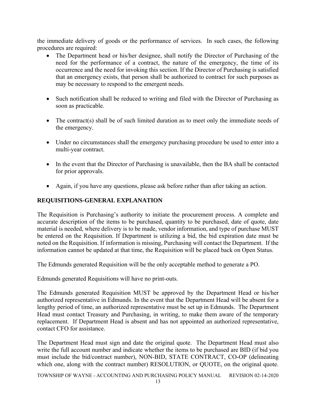the immediate delivery of goods or the performance of services. In such cases, the following procedures are required:

- The Department head or his/her designee, shall notify the Director of Purchasing of the need for the performance of a contract, the nature of the emergency, the time of its occurrence and the need for invoking this section. If the Director of Purchasing is satisfied that an emergency exists, that person shall be authorized to contract for such purposes as may be necessary to respond to the emergent needs.
- Such notification shall be reduced to writing and filed with the Director of Purchasing as soon as practicable.
- The contract(s) shall be of such limited duration as to meet only the immediate needs of the emergency.
- Under no circumstances shall the emergency purchasing procedure be used to enter into a multi-year contract.
- In the event that the Director of Purchasing is unavailable, then the BA shall be contacted for prior approvals.
- Again, if you have any questions, please ask before rather than after taking an action.

#### **REQUISITIONS-GENERAL EXPLANATION**

The Requisition is Purchasing's authority to initiate the procurement process. A complete and accurate description of the items to be purchased, quantity to be purchased, date of quote, date material is needed, where delivery is to be made, vendor information, and type of purchase MUST be entered on the Requisition. If Department is utilizing a bid, the bid expiration date must be noted on the Requisition. If information is missing, Purchasing will contact the Department. If the information cannot be updated at that time, the Requisition will be placed back on Open Status.

The Edmunds generated Requisition will be the only acceptable method to generate a PO.

Edmunds generated Requisitions will have no print-outs.

The Edmunds generated Requisition MUST be approved by the Department Head or his/her authorized representative in Edmunds. In the event that the Department Head will be absent for a lengthy period of time, an authorized representative must be set up in Edmunds. The Department Head must contact Treasury and Purchasing, in writing, to make them aware of the temporary replacement. If Department Head is absent and has not appointed an authorized representative, contact CFO for assistance.

The Department Head must sign and date the original quote. The Department Head must also write the full account number and indicate whether the items to be purchased are BID (if bid you must include the bid/contract number), NON-BID, STATE CONTRACT, CO-OP (delineating which one, along with the contract number) RESOLUTION, or QUOTE, on the original quote.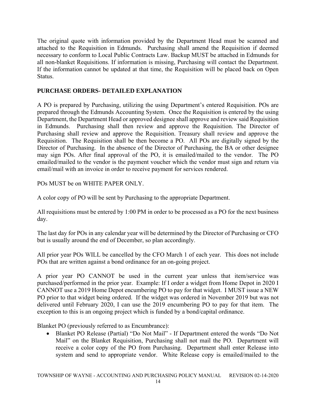The original quote with information provided by the Department Head must be scanned and attached to the Requisition in Edmunds. Purchasing shall amend the Requisition if deemed necessary to conform to Local Public Contracts Law. Backup MUST be attached in Edmunds for all non-blanket Requisitions. If information is missing, Purchasing will contact the Department. If the information cannot be updated at that time, the Requisition will be placed back on Open Status.

#### **PURCHASE ORDERS- DETAILED EXPLANATION**

A PO is prepared by Purchasing, utilizing the using Department's entered Requisition. POs are prepared through the Edmunds Accounting System. Once the Requisition is entered by the using Department, the Department Head or approved designee shall approve and review said Requisition in Edmunds. Purchasing shall then review and approve the Requisition. The Director of Purchasing shall review and approve the Requisition. Treasury shall review and approve the Requisition. The Requisition shall be then become a PO. All POs are digitally signed by the Director of Purchasing. In the absence of the Director of Purchasing, the BA or other designee may sign POs. After final approval of the PO, it is emailed/mailed to the vendor. The PO emailed/mailed to the vendor is the payment voucher which the vendor must sign and return via email/mail with an invoice in order to receive payment for services rendered.

POs MUST be on WHITE PAPER ONLY.

A color copy of PO will be sent by Purchasing to the appropriate Department.

All requisitions must be entered by 1:00 PM in order to be processed as a PO for the next business day.

The last day for POs in any calendar year will be determined by the Director of Purchasing or CFO but is usually around the end of December, so plan accordingly.

All prior year POs WILL be cancelled by the CFO March 1 of each year. This does not include POs that are written against a bond ordinance for an on-going project.

A prior year PO CANNOT be used in the current year unless that item/service was purchased/performed in the prior year. Example: If I order a widget from Home Depot in 2020 I CANNOT use a 2019 Home Depot encumbering PO to pay for that widget. I MUST issue a NEW PO prior to that widget being ordered. If the widget was ordered in November 2019 but was not delivered until February 2020, I can use the 2019 encumbering PO to pay for that item. The exception to this is an ongoing project which is funded by a bond/capital ordinance.

Blanket PO (previously referred to as Encumbrance):

• Blanket PO Release (Partial) "Do Not Mail" - If Department entered the words "Do Not Mail" on the Blanket Requisition, Purchasing shall not mail the PO. Department will receive a color copy of the PO from Purchasing. Department shall enter Release into system and send to appropriate vendor. White Release copy is emailed/mailed to the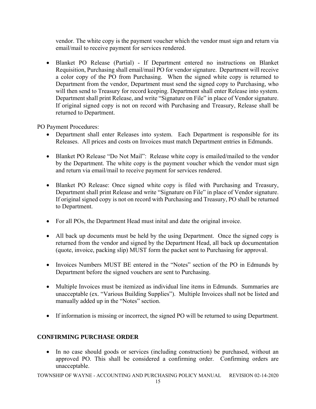vendor. The white copy is the payment voucher which the vendor must sign and return via email/mail to receive payment for services rendered.

 Blanket PO Release (Partial) - If Department entered no instructions on Blanket Requisition, Purchasing shall email/mail PO for vendor signature. Department will receive a color copy of the PO from Purchasing. When the signed white copy is returned to Department from the vendor, Department must send the signed copy to Purchasing, who will then send to Treasury for record keeping. Department shall enter Release into system. Department shall print Release, and write "Signature on File" in place of Vendor signature. If original signed copy is not on record with Purchasing and Treasury, Release shall be returned to Department.

PO Payment Procedures:

- Department shall enter Releases into system. Each Department is responsible for its Releases. All prices and costs on Invoices must match Department entries in Edmunds.
- Blanket PO Release "Do Not Mail": Release white copy is emailed/mailed to the vendor by the Department. The white copy is the payment voucher which the vendor must sign and return via email/mail to receive payment for services rendered.
- Blanket PO Release: Once signed white copy is filed with Purchasing and Treasury, Department shall print Release and write "Signature on File" in place of Vendor signature. If original signed copy is not on record with Purchasing and Treasury, PO shall be returned to Department.
- For all POs, the Department Head must inital and date the original invoice.
- All back up documents must be held by the using Department. Once the signed copy is returned from the vendor and signed by the Department Head, all back up documentation (quote, invoice, packing slip) MUST form the packet sent to Purchasing for approval.
- Invoices Numbers MUST BE entered in the "Notes" section of the PO in Edmunds by Department before the signed vouchers are sent to Purchasing.
- Multiple Invoices must be itemized as individual line items in Edmunds. Summaries are unacceptable (ex. "Various Building Supplies"). Multiple Invoices shall not be listed and manually added up in the "Notes" section.
- If information is missing or incorrect, the signed PO will be returned to using Department.

#### **CONFIRMING PURCHASE ORDER**

• In no case should goods or services (including construction) be purchased, without an approved PO. This shall be considered a confirming order. Confirming orders are unacceptable.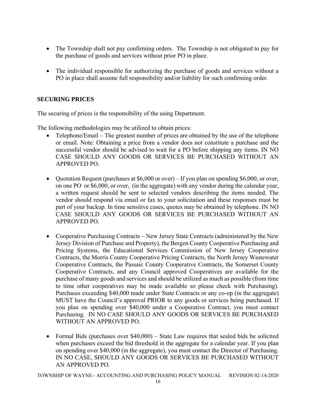- The Township shall not pay confirming orders. The Township is not obligated to pay for the purchase of goods and services without prior PO in place.
- The individual responsible for authorizing the purchase of goods and services without a PO in place shall assume full responsibility and/or liability for such confirming order.

#### **SECURING PRICES**

The securing of prices is the responsibility of the using Department.

The following methodologies may be utilized to obtain prices:

- Telephone/Email The greatest number of prices are obtained by the use of the telephone or email. Note: Obtaining a price from a vendor does not constitute a purchase and the successful vendor should be advised to wait for a PO before shipping any items. IN NO CASE SHOULD ANY GOODS OR SERVICES BE PURCHASED WITHOUT AN APPROVED PO.
- Quotation Request (purchases at \$6,000 or over) If you plan on spending \$6,000, or over, on one PO or \$6,000, or over, (in the aggregate) with any vendor during the calendar year, a written request should be sent to selected vendors describing the items needed. The vendor should respond via email or fax to your solicitation and these responses must be part of your backup. In time sensitive cases, quotes may be obtained by telephone. IN NO CASE SHOULD ANY GOODS OR SERVICES BE PURCHASED WITHOUT AN APPROVED PO.
- Cooperative Purchasing Contracts New Jersey State Contracts (administered by the New Jersey Division of Purchase and Property), the Bergen County Cooperative Purchasing and Pricing Systems, the Educational Services Commission of New Jersey Cooperative Contracts, the Morris County Cooperative Pricing Contracts, the North Jersey Wastewater Cooperative Contracts, the Passaic County Cooperative Contracts, the Somerset County Cooperative Contracts, and any Council approved Cooperatives are available for the purchase of many goods and services and should be utilized as much as possible (from time to time other cooperatives may be made available so please check with Purchasing). Purchases exceeding \$40,000 made under State Contracts or any co-op (in the aggregate) MUST have the Council's approval PRIOR to any goods or services being purchased. If you plan on spending over \$40,000 under a Cooperative Contract, you must contact Purchasing. IN NO CASE SHOULD ANY GOODS OR SERVICES BE PURCHASED WITHOUT AN APPROVED PO.
- Formal Bids (purchases over \$40,000) State Law requires that sealed bids be solicited when purchases exceed the bid threshold in the aggregate for a calendar year. If you plan on spending over \$40,000 (in the aggregate), you must contact the Director of Purchasing. IN NO CASE, SHOULD ANY GOODS OR SERVICES BE PURCHASED WITHOUT AN APPROVED PO.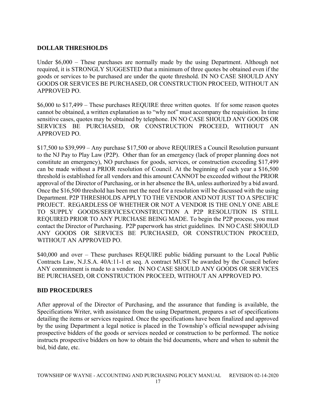#### **DOLLAR THRESHOLDS**

Under \$6,000 – These purchases are normally made by the using Department. Although not required, it is STRONGLY SUGGESTED that a minimum of three quotes be obtained even if the goods or services to be purchased are under the quote threshold. IN NO CASE SHOULD ANY GOODS OR SERVICES BE PURCHASED, OR CONSTRUCTION PROCEED, WITHOUT AN APPROVED PO.

\$6,000 to \$17,499 – These purchases REQUIRE three written quotes. If for some reason quotes cannot be obtained, a written explanation as to "why not" must accompany the requisition. In time sensitive cases, quotes may be obtained by telephone. IN NO CASE SHOULD ANY GOODS OR SERVICES BE PURCHASED, OR CONSTRUCTION PROCEED, WITHOUT AN APPROVED PO.

\$17,500 to \$39,999 – Any purchase \$17,500 or above REQUIRES a Council Resolution pursuant to the NJ Pay to Play Law (P2P). Other than for an emergency (lack of proper planning does not constitute an emergency), NO purchases for goods, services, or construction exceeding \$17,499 can be made without a PRIOR resolution of Council. At the beginning of each year a \$16,500 threshold is established for all vendors and this amount CANNOT be exceeded without the PRIOR approval of the Director of Purchasing, or in her absence the BA, unless authorized by a bid award. Once the \$16,500 threshold has been met the need for a resolution will be discussed with the using Department. P2P THRESHOLDS APPLY TO THE VENDOR AND NOT JUST TO A SPECIFIC PROJECT. REGARDLESS OF WHETHER OR NOT A VENDOR IS THE ONLY ONE ABLE TO SUPPLY GOODS/SERVICES/CONSTRUCTION A P2P RESOLUTION IS STILL REQUIRED PRIOR TO ANY PURCHASE BEING MADE. To begin the P2P process, you must contact the Director of Purchasing. P2P paperwork has strict guidelines. IN NO CASE SHOULD ANY GOODS OR SERVICES BE PURCHASED, OR CONSTRUCTION PROCEED, WITHOUT AN APPROVED PO.

\$40,000 and over – These purchases REQUIRE public bidding pursuant to the Local Public Contracts Law, N.J.S.A. 40A:11-1 et seq. A contract MUST be awarded by the Council before ANY commitment is made to a vendor. IN NO CASE SHOULD ANY GOODS OR SERVICES BE PURCHASED, OR CONSTRUCTION PROCEED, WITHOUT AN APPROVED PO.

#### **BID PROCEDURES**

After approval of the Director of Purchasing, and the assurance that funding is available, the Specifications Writer, with assistance from the using Department, prepares a set of specifications detailing the items or services required. Once the specifications have been finalized and approved by the using Department a legal notice is placed in the Township's official newspaper advising prospective bidders of the goods or services needed or construction to be performed. The notice instructs prospective bidders on how to obtain the bid documents, where and when to submit the bid, bid date, etc.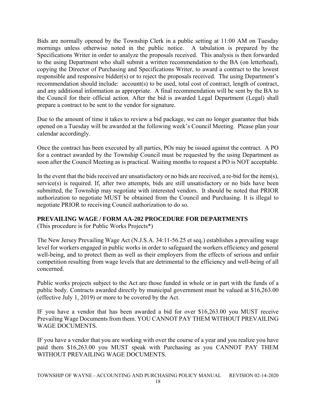Bids are normally opened by the Township Clerk in a public setting at 11:00 AM on Tuesday mornings unless otherwise noted in the public notice. A tabulation is prepared by the Specifications Writer in order to analyze the proposals received. This analysis is then forwarded to the using Department who shall submit a written recommendation to the BA (on letterhead), copying the Director of Purchasing and Specifications Writer, to award a contract to the lowest responsible and responsive bidder(s) or to reject the proposals received. The using Department's recommendation should include: account(s) to be used, total cost of contract, length of contract, and any additional information as appropriate. A final recommendation will be sent by the BA to the Council for their official action. After the bid is awarded Legal Department (Legal) shall prepare a contract to be sent to the vendor for signature.

Due to the amount of time it takes to review a bid package, we can no longer guarantee that bids opened on a Tuesday will be awarded at the following week's Council Meeting. Please plan your calendar accordingly.

Once the contract has been executed by all parties, POs may be issued against the contract. A PO for a contract awarded by the Township Council must be requested by the using Department as soon after the Council Meeting as is practical. Waiting months to request a PO is NOT acceptable.

In the event that the bids received are unsatisfactory or no bids are received, a re-bid for the item(s), service(s) is required. If, after two attempts, bids are still unsatisfactory or no bids have been submitted, the Township may negotiate with interested vendors. It should be noted that PRIOR authorization to negotiate MUST be obtained from the Council and Purchasing. It is illegal to negotiate PRIOR to receiving Council authorization to do so.

#### **PREVAILING WAGE / FORM AA-202 PROCEDURE FOR DEPARTMENTS**

(This procedure is for Public Works Projects\*)

The New Jersey Prevailing Wage Act (N.J.S.A. 34:11-56.25 et seq.) establishes a prevailing wage level for workers engaged in public works in order to safeguard the workers efficiency and general well-being, and to protect them as well as their employers from the effects of serious and unfair competition resulting from wage levels that are detrimental to the efficiency and well-being of all concerned.

Public works projects subject to the Act are those funded in whole or in part with the funds of a public body. Contracts awarded directly by municipal government must be valued at \$16,263.00 (effective July 1, 2019) or more to be covered by the Act.

IF you have a vendor that has been awarded a bid for over \$16,263.00 you MUST receive Prevailing Wage Documents from them. YOU CANNOT PAY THEM WITHOUT PREVAILING WAGE DOCUMENTS.

IF you have a vendor that you are working with over the course of a year and you realize you have paid them \$16,263.00 you MUST speak with Purchasing as you CANNOT PAY THEM WITHOUT PREVAILING WAGE DOCUMENTS.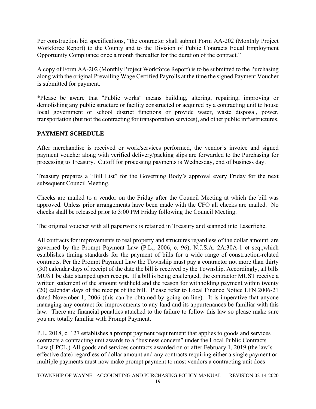Per construction bid specifications, "the contractor shall submit Form AA-202 (Monthly Project Workforce Report) to the County and to the Division of Public Contracts Equal Employment Opportunity Compliance once a month thereafter for the duration of the contract."

A copy of Form AA-202 (Monthly Project Workforce Report) is to be submitted to the Purchasing along with the original Prevailing Wage Certified Payrolls at the time the signed Payment Voucher is submitted for payment.

\*Please be aware that "Public works" means building, altering, repairing, improving or demolishing any public structure or facility constructed or acquired by a contracting unit to house local government or school district functions or provide water, waste disposal, power, transportation (but not the contracting for transportation services), and other public infrastructures.

## **PAYMENT SCHEDULE**

After merchandise is received or work/services performed, the vendor's invoice and signed payment voucher along with verified delivery/packing slips are forwarded to the Purchasing for processing to Treasury. Cutoff for processing payments is Wednesday, end of business day.

Treasury prepares a "Bill List" for the Governing Body's approval every Friday for the next subsequent Council Meeting.

Checks are mailed to a vendor on the Friday after the Council Meeting at which the bill was approved. Unless prior arrangements have been made with the CFO all checks are mailed. No checks shall be released prior to 3:00 PM Friday following the Council Meeting.

The original voucher with all paperwork is retained in Treasury and scanned into Laserfiche.

All contracts for improvements to real property and structures regardless of the dollar amount are governed by the Prompt Payment Law (P.L., 2006, c. 96), N.J.S.A. 2A:30A-1 et seq.,which establishes timing standards for the payment of bills for a wide range of construction-related contracts. Per the Prompt Payment Law the Township must pay a contractor not more than thirty (30) calendar days of receipt of the date the bill is received by the Township. Accordingly, all bills MUST be date stamped upon receipt. If a bill is being challenged, the contractor MUST receive a written statement of the amount withheld and the reason for withholding payment within twenty (20) calendar days of the receipt of the bill. Please refer to Local Finance Notice LFN 2006-21 dated November 1, 2006 (this can be obtained by going on-line). It is imperative that anyone managing any contract for improvements to any land and its appurtenances be familiar with this law. There are financial penalties attached to the failure to follow this law so please make sure you are totally familiar with Prompt Payment.

P.L. 2018, c. 127 establishes a prompt payment requirement that applies to goods and services contracts a contracting unit awards to a "business concern" under the Local Public Contracts Law (LPCL.) All goods and services contracts awarded on or after February 1, 2019 (the law's effective date) regardless of dollar amount and any contracts requiring either a single payment or multiple payments must now make prompt payment to most vendors a contracting unit does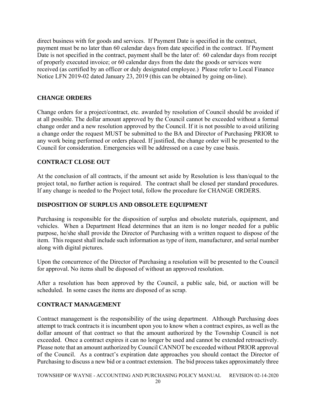direct business with for goods and services. If Payment Date is specified in the contract, payment must be no later than 60 calendar days from date specified in the contract. If Payment Date is not specified in the contract, payment shall be the later of: 60 calendar days from receipt of properly executed invoice; or 60 calendar days from the date the goods or services were received (as certified by an officer or duly designated employee.) Please refer to Local Finance Notice LFN 2019-02 dated January 23, 2019 (this can be obtained by going on-line).

#### **CHANGE ORDERS**

Change orders for a project/contract, etc. awarded by resolution of Council should be avoided if at all possible. The dollar amount approved by the Council cannot be exceeded without a formal change order and a new resolution approved by the Council. If it is not possible to avoid utilizing a change order the request MUST be submitted to the BA and Director of Purchasing PRIOR to any work being performed or orders placed. If justified, the change order will be presented to the Council for consideration. Emergencies will be addressed on a case by case basis.

#### **CONTRACT CLOSE OUT**

At the conclusion of all contracts, if the amount set aside by Resolution is less than/equal to the project total, no further action is required. The contract shall be closed per standard procedures. If any change is needed to the Project total, follow the procedure for CHANGE ORDERS.

#### **DISPOSITION OF SURPLUS AND OBSOLETE EQUIPMENT**

Purchasing is responsible for the disposition of surplus and obsolete materials, equipment, and vehicles. When a Department Head determines that an item is no longer needed for a public purpose, he/she shall provide the Director of Purchasing with a written request to dispose of the item. This request shall include such information as type of item, manufacturer, and serial number along with digital pictures.

Upon the concurrence of the Director of Purchasing a resolution will be presented to the Council for approval. No items shall be disposed of without an approved resolution.

After a resolution has been approved by the Council, a public sale, bid, or auction will be scheduled. In some cases the items are disposed of as scrap.

#### **CONTRACT MANAGEMENT**

Contract management is the responsibility of the using department. Although Purchasing does attempt to track contracts it is incumbent upon you to know when a contract expires, as well as the dollar amount of that contract so that the amount authorized by the Township Council is not exceeded. Once a contract expires it can no longer be used and cannot be extended retroactively. Please note that an amount authorized by Council CANNOT be exceeded without PRIOR approval of the Council. As a contract's expiration date approaches you should contact the Director of Purchasing to discuss a new bid or a contract extension. The bid process takes approximately three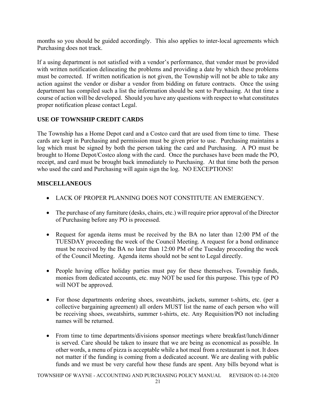months so you should be guided accordingly. This also applies to inter-local agreements which Purchasing does not track.

If a using department is not satisfied with a vendor's performance, that vendor must be provided with written notification delineating the problems and providing a date by which these problems must be corrected. If written notification is not given, the Township will not be able to take any action against the vendor or disbar a vendor from bidding on future contracts. Once the using department has compiled such a list the information should be sent to Purchasing. At that time a course of action will be developed. Should you have any questions with respect to what constitutes proper notification please contact Legal.

#### **USE OF TOWNSHIP CREDIT CARDS**

The Township has a Home Depot card and a Costco card that are used from time to time. These cards are kept in Purchasing and permission must be given prior to use. Purchasing maintains a log which must be signed by both the person taking the card and Purchasing. A PO must be brought to Home Depot/Costco along with the card. Once the purchases have been made the PO, receipt, and card must be brought back immediately to Purchasing. At that time both the person who used the card and Purchasing will again sign the log. NO EXCEPTIONS!

#### **MISCELLANEOUS**

- LACK OF PROPER PLANNING DOES NOT CONSTITUTE AN EMERGENCY.
- The purchase of any furniture (desks, chairs, etc.) will require prior approval of the Director of Purchasing before any PO is processed.
- Request for agenda items must be received by the BA no later than 12:00 PM of the TUESDAY proceeding the week of the Council Meeting. A request for a bond ordinance must be received by the BA no later than 12:00 PM of the Tuesday proceeding the week of the Council Meeting. Agenda items should not be sent to Legal directly.
- People having office holiday parties must pay for these themselves. Township funds, monies from dedicated accounts, etc. may NOT be used for this purpose. This type of PO will NOT be approved.
- For those departments ordering shoes, sweatshirts, jackets, summer t-shirts, etc. (per a collective bargaining agreement) all orders MUST list the name of each person who will be receiving shoes, sweatshirts, summer t-shirts, etc. Any Requisition/PO not including names will be returned.
- From time to time departments/divisions sponsor meetings where breakfast/lunch/dinner is served. Care should be taken to insure that we are being as economical as possible. In other words, a menu of pizza is acceptable while a hot meal from a restaurant is not. It does not matter if the funding is coming from a dedicated account. We are dealing with public funds and we must be very careful how these funds are spent. Any bills beyond what is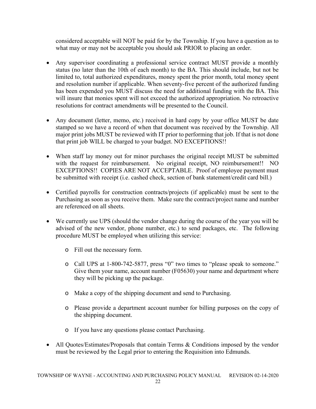considered acceptable will NOT be paid for by the Township. If you have a question as to what may or may not be acceptable you should ask PRIOR to placing an order.

- Any supervisor coordinating a professional service contract MUST provide a monthly status (no later than the 10th of each month) to the BA. This should include, but not be limited to, total authorized expenditures, money spent the prior month, total money spent and resolution number if applicable. When seventy-five percent of the authorized funding has been expended you MUST discuss the need for additional funding with the BA. This will insure that monies spent will not exceed the authorized appropriation. No retroactive resolutions for contract amendments will be presented to the Council.
- Any document (letter, memo, etc.) received in hard copy by your office MUST be date stamped so we have a record of when that document was received by the Township. All major print jobs MUST be reviewed with IT prior to performing that job. If that is not done that print job WILL be charged to your budget. NO EXCEPTIONS!!
- When staff lay money out for minor purchases the original receipt MUST be submitted with the request for reimbursement. No original receipt, NO reimbursement!! NO EXCEPTIONS!! COPIES ARE NOT ACCEPTABLE. Proof of employee payment must be submitted with receipt (i.e. cashed check, section of bank statement/credit card bill.)
- Certified payrolls for construction contracts/projects (if applicable) must be sent to the Purchasing as soon as you receive them. Make sure the contract/project name and number are referenced on all sheets.
- We currently use UPS (should the vendor change during the course of the year you will be advised of the new vendor, phone number, etc.) to send packages, etc. The following procedure MUST be employed when utilizing this service:
	- o Fill out the necessary form.
	- o Call UPS at 1-800-742-5877, press "0" two times to "please speak to someone." Give them your name, account number (F05630) your name and department where they will be picking up the package.
	- o Make a copy of the shipping document and send to Purchasing.
	- o Please provide a department account number for billing purposes on the copy of the shipping document.
	- o If you have any questions please contact Purchasing.
- All Quotes/Estimates/Proposals that contain Terms & Conditions imposed by the vendor must be reviewed by the Legal prior to entering the Requisition into Edmunds.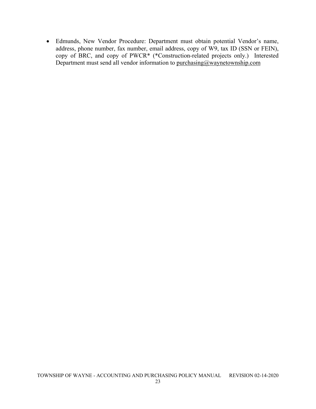Edmunds, New Vendor Procedure: Department must obtain potential Vendor's name, address, phone number, fax number, email address, copy of W9, tax ID (SSN or FEIN), copy of BRC, and copy of PWCR\* (\*Construction-related projects only.) Interested Department must send all vendor information to purchasing@waynetownship.com